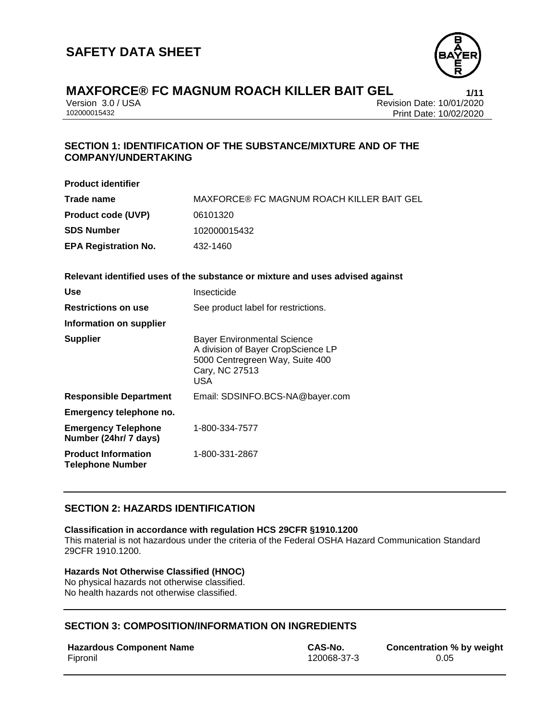

Version 3.0 / USA Revision Date: 10/01/2020 Print Date: 10/02/2020

## **SECTION 1: IDENTIFICATION OF THE SUBSTANCE/MIXTURE AND OF THE COMPANY/UNDERTAKING**

| <b>Product identifier</b>                           |                                                                                                                                             |
|-----------------------------------------------------|---------------------------------------------------------------------------------------------------------------------------------------------|
| Trade name                                          | MAXFORCE® FC MAGNUM ROACH KILLER BAIT GEL                                                                                                   |
| <b>Product code (UVP)</b>                           | 06101320                                                                                                                                    |
| <b>SDS Number</b>                                   | 102000015432                                                                                                                                |
| <b>EPA Registration No.</b>                         | 432-1460                                                                                                                                    |
|                                                     | Relevant identified uses of the substance or mixture and uses advised against                                                               |
| <b>Use</b>                                          | Insecticide                                                                                                                                 |
| <b>Restrictions on use</b>                          | See product label for restrictions.                                                                                                         |
| Information on supplier                             |                                                                                                                                             |
| <b>Supplier</b>                                     | <b>Bayer Environmental Science</b><br>A division of Bayer CropScience LP<br>5000 Centregreen Way, Suite 400<br>Cary, NC 27513<br><b>USA</b> |
| <b>Responsible Department</b>                       | Email: SDSINFO.BCS-NA@bayer.com                                                                                                             |
| Emergency telephone no.                             |                                                                                                                                             |
| <b>Emergency Telephone</b><br>Number (24hr/ 7 days) | 1-800-334-7577                                                                                                                              |
| <b>Product Information</b>                          | 1-800-331-2867                                                                                                                              |

## **SECTION 2: HAZARDS IDENTIFICATION**

#### **Classification in accordance with regulation HCS 29CFR §1910.1200**

This material is not hazardous under the criteria of the Federal OSHA Hazard Communication Standard 29CFR 1910.1200.

#### **Hazards Not Otherwise Classified (HNOC)**

No physical hazards not otherwise classified. No health hazards not otherwise classified.

## **SECTION 3: COMPOSITION/INFORMATION ON INGREDIENTS**

#### **Hazardous Component Name CAS-No. Concentration % by weight**

**Telephone Number**

Fipronil 120068-37-3 0.05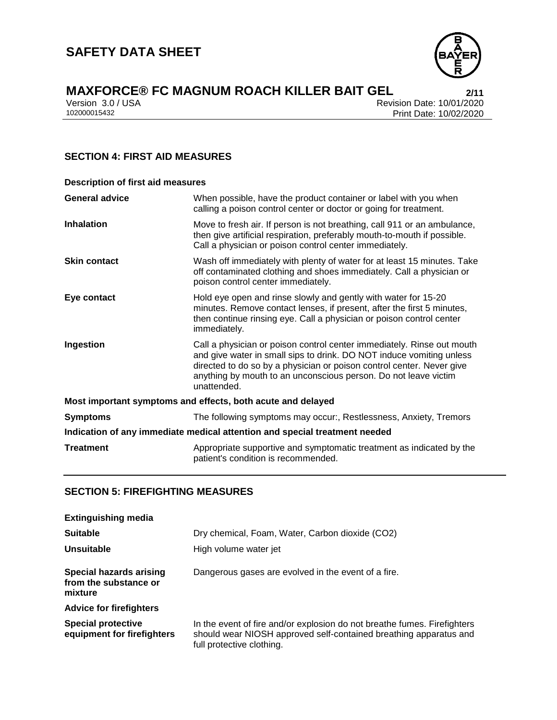

Version 3.0 / USA Revision Date: 10/01/2020<br>102000015432 Print Date: 10/02/2020 Print Date: 10/02/2020

## **SECTION 4: FIRST AID MEASURES**

| <b>Description of first aid measures</b>                                   |                                                                                                                                                                                                                                                                                                           |  |
|----------------------------------------------------------------------------|-----------------------------------------------------------------------------------------------------------------------------------------------------------------------------------------------------------------------------------------------------------------------------------------------------------|--|
| <b>General advice</b>                                                      | When possible, have the product container or label with you when<br>calling a poison control center or doctor or going for treatment.                                                                                                                                                                     |  |
| <b>Inhalation</b>                                                          | Move to fresh air. If person is not breathing, call 911 or an ambulance,<br>then give artificial respiration, preferably mouth-to-mouth if possible.<br>Call a physician or poison control center immediately.                                                                                            |  |
| <b>Skin contact</b>                                                        | Wash off immediately with plenty of water for at least 15 minutes. Take<br>off contaminated clothing and shoes immediately. Call a physician or<br>poison control center immediately.                                                                                                                     |  |
| Eye contact                                                                | Hold eye open and rinse slowly and gently with water for 15-20<br>minutes. Remove contact lenses, if present, after the first 5 minutes,<br>then continue rinsing eye. Call a physician or poison control center<br>immediately.                                                                          |  |
| Ingestion                                                                  | Call a physician or poison control center immediately. Rinse out mouth<br>and give water in small sips to drink. DO NOT induce vomiting unless<br>directed to do so by a physician or poison control center. Never give<br>anything by mouth to an unconscious person. Do not leave victim<br>unattended. |  |
| Most important symptoms and effects, both acute and delayed                |                                                                                                                                                                                                                                                                                                           |  |
| <b>Symptoms</b>                                                            | The following symptoms may occur:, Restlessness, Anxiety, Tremors                                                                                                                                                                                                                                         |  |
| Indication of any immediate medical attention and special treatment needed |                                                                                                                                                                                                                                                                                                           |  |
| <b>Treatment</b>                                                           | Appropriate supportive and symptomatic treatment as indicated by the<br>patient's condition is recommended.                                                                                                                                                                                               |  |

## **SECTION 5: FIREFIGHTING MEASURES**

| <b>Extinguishing media</b>                                         |                                                                                                                                                                            |
|--------------------------------------------------------------------|----------------------------------------------------------------------------------------------------------------------------------------------------------------------------|
| <b>Suitable</b>                                                    | Dry chemical, Foam, Water, Carbon dioxide (CO2)                                                                                                                            |
| Unsuitable                                                         | High volume water jet                                                                                                                                                      |
| <b>Special hazards arising</b><br>from the substance or<br>mixture | Dangerous gases are evolved in the event of a fire.                                                                                                                        |
| <b>Advice for firefighters</b>                                     |                                                                                                                                                                            |
| <b>Special protective</b><br>equipment for firefighters            | In the event of fire and/or explosion do not breathe fumes. Firefighters<br>should wear NIOSH approved self-contained breathing apparatus and<br>full protective clothing. |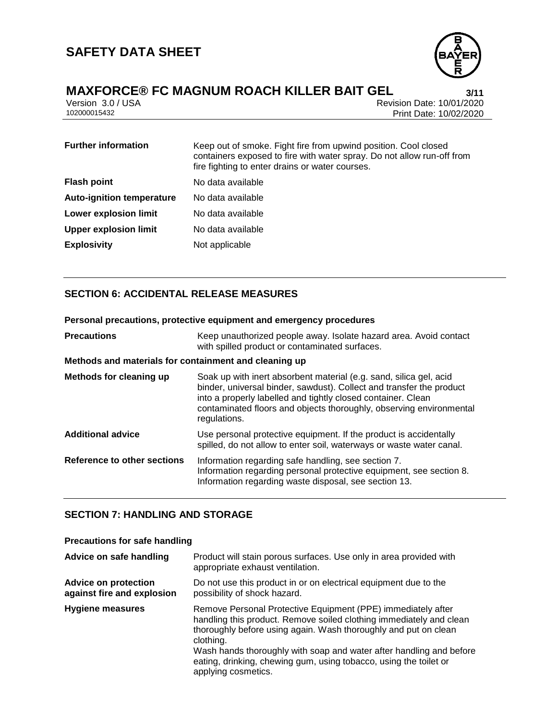

Version 3.0 / USA Revision Date: 10/01/2020<br>102000015432 Print Date: 10/02/2020 Print Date: 10/02/2020

| <b>Further information</b>       | Keep out of smoke. Fight fire from upwind position. Cool closed<br>containers exposed to fire with water spray. Do not allow run-off from<br>fire fighting to enter drains or water courses. |
|----------------------------------|----------------------------------------------------------------------------------------------------------------------------------------------------------------------------------------------|
| <b>Flash point</b>               | No data available                                                                                                                                                                            |
| <b>Auto-ignition temperature</b> | No data available                                                                                                                                                                            |
| <b>Lower explosion limit</b>     | No data available                                                                                                                                                                            |
| <b>Upper explosion limit</b>     | No data available                                                                                                                                                                            |
| <b>Explosivity</b>               | Not applicable                                                                                                                                                                               |

## **SECTION 6: ACCIDENTAL RELEASE MEASURES**

| Personal precautions, protective equipment and emergency procedures |                                                                                                                                                                                                                                                                                                   |  |
|---------------------------------------------------------------------|---------------------------------------------------------------------------------------------------------------------------------------------------------------------------------------------------------------------------------------------------------------------------------------------------|--|
| <b>Precautions</b>                                                  | Keep unauthorized people away. Isolate hazard area. Avoid contact<br>with spilled product or contaminated surfaces.                                                                                                                                                                               |  |
| Methods and materials for containment and cleaning up               |                                                                                                                                                                                                                                                                                                   |  |
| Methods for cleaning up                                             | Soak up with inert absorbent material (e.g. sand, silica gel, acid<br>binder, universal binder, sawdust). Collect and transfer the product<br>into a properly labelled and tightly closed container. Clean<br>contaminated floors and objects thoroughly, observing environmental<br>regulations. |  |
| <b>Additional advice</b>                                            | Use personal protective equipment. If the product is accidentally<br>spilled, do not allow to enter soil, waterways or waste water canal.                                                                                                                                                         |  |
| Reference to other sections                                         | Information regarding safe handling, see section 7.<br>Information regarding personal protective equipment, see section 8.<br>Information regarding waste disposal, see section 13.                                                                                                               |  |

## **SECTION 7: HANDLING AND STORAGE**

#### **Precautions for safe handling**

| Advice on safe handling                                   | Product will stain porous surfaces. Use only in area provided with<br>appropriate exhaust ventilation.                                                                                                                                                                                                                                                                                 |
|-----------------------------------------------------------|----------------------------------------------------------------------------------------------------------------------------------------------------------------------------------------------------------------------------------------------------------------------------------------------------------------------------------------------------------------------------------------|
| <b>Advice on protection</b><br>against fire and explosion | Do not use this product in or on electrical equipment due to the<br>possibility of shock hazard.                                                                                                                                                                                                                                                                                       |
| Hygiene measures                                          | Remove Personal Protective Equipment (PPE) immediately after<br>handling this product. Remove soiled clothing immediately and clean<br>thoroughly before using again. Wash thoroughly and put on clean<br>clothing.<br>Wash hands thoroughly with soap and water after handling and before<br>eating, drinking, chewing gum, using tobacco, using the toilet or<br>applying cosmetics. |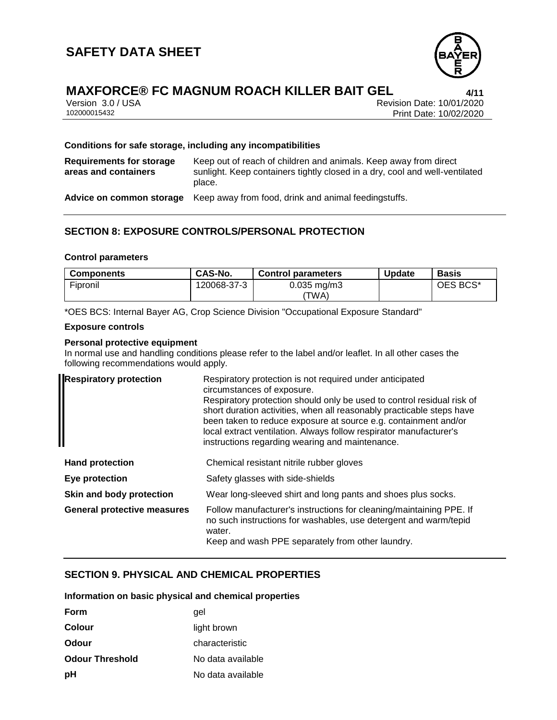

## **MAXFORCE® FC MAGNUM ROACH KILLER BAIT GEL 4/11**

|              | Version 3.0 / USA |
|--------------|-------------------|
| 102000015432 |                   |

Revision Date: 10/01/2020 Print Date: 10/02/2020

#### **Conditions for safe storage, including any incompatibilities**

| Requirements for storage<br>areas and containers | Keep out of reach of children and animals. Keep away from direct<br>sunlight. Keep containers tightly closed in a dry, cool and well-ventilated<br>place. |
|--------------------------------------------------|-----------------------------------------------------------------------------------------------------------------------------------------------------------|
| Advice on common storage                         | Keep away from food, drink and animal feedingstuffs.                                                                                                      |

## **SECTION 8: EXPOSURE CONTROLS/PERSONAL PROTECTION**

#### **Control parameters**

| <b>Components</b> | CAS-No.     | <b>Control parameters</b> | <b>Update</b> | Basis    |
|-------------------|-------------|---------------------------|---------------|----------|
| Fipronil          | 120068-37-3 | $0.035$ mg/m $3$<br>'TWA) |               | OES BCS* |

\*OES BCS: Internal Bayer AG, Crop Science Division "Occupational Exposure Standard"

#### **Exposure controls**

#### **Personal protective equipment**

In normal use and handling conditions please refer to the label and/or leaflet. In all other cases the following recommendations would apply.

| <b>Respiratory protection</b>      | Respiratory protection is not required under anticipated<br>circumstances of exposure.<br>Respiratory protection should only be used to control residual risk of<br>short duration activities, when all reasonably practicable steps have<br>been taken to reduce exposure at source e.g. containment and/or<br>local extract ventilation. Always follow respirator manufacturer's<br>instructions regarding wearing and maintenance. |
|------------------------------------|---------------------------------------------------------------------------------------------------------------------------------------------------------------------------------------------------------------------------------------------------------------------------------------------------------------------------------------------------------------------------------------------------------------------------------------|
| <b>Hand protection</b>             | Chemical resistant nitrile rubber gloves                                                                                                                                                                                                                                                                                                                                                                                              |
| Eye protection                     | Safety glasses with side-shields                                                                                                                                                                                                                                                                                                                                                                                                      |
| Skin and body protection           | Wear long-sleeved shirt and long pants and shoes plus socks.                                                                                                                                                                                                                                                                                                                                                                          |
| <b>General protective measures</b> | Follow manufacturer's instructions for cleaning/maintaining PPE. If<br>no such instructions for washables, use detergent and warm/tepid<br>water.<br>Keep and wash PPE separately from other laundry.                                                                                                                                                                                                                                 |

## **SECTION 9. PHYSICAL AND CHEMICAL PROPERTIES**

#### **Information on basic physical and chemical properties**

| <b>Form</b>            | qel               |
|------------------------|-------------------|
| Colour                 | light brown       |
| Odour                  | characteristic    |
| <b>Odour Threshold</b> | No data available |
| рH                     | No data available |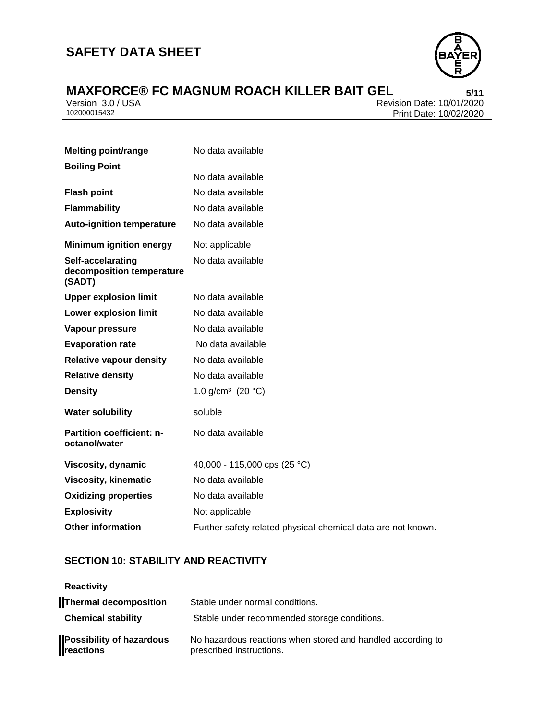## **SAFETY DATA SHEET**



# **MAXFORCE®** FC MAGNUM ROACH KILLER BAIT GEL<br>
Version 3.0/USA<br>
Revision Date: 10/01/2020

Version 3.0 / USA Revision Date: 10/01/2020<br>102000015432 Print Date: 10/02/2020 Print Date: 10/02/2020

| <b>Melting point/range</b>                               | No data available                                            |
|----------------------------------------------------------|--------------------------------------------------------------|
| <b>Boiling Point</b>                                     |                                                              |
|                                                          | No data available                                            |
| <b>Flash point</b>                                       | No data available                                            |
| <b>Flammability</b>                                      | No data available                                            |
| <b>Auto-ignition temperature</b>                         | No data available                                            |
| <b>Minimum ignition energy</b>                           | Not applicable                                               |
| Self-accelarating<br>decomposition temperature<br>(SADT) | No data available                                            |
| <b>Upper explosion limit</b>                             | No data available                                            |
| <b>Lower explosion limit</b>                             | No data available                                            |
| Vapour pressure                                          | No data available                                            |
| <b>Evaporation rate</b>                                  | No data available                                            |
| <b>Relative vapour density</b>                           | No data available                                            |
| <b>Relative density</b>                                  | No data available                                            |
| <b>Density</b>                                           | 1.0 g/cm <sup>3</sup> (20 $^{\circ}$ C)                      |
| <b>Water solubility</b>                                  | soluble                                                      |
| <b>Partition coefficient: n-</b><br>octanol/water        | No data available                                            |
| Viscosity, dynamic                                       | 40,000 - 115,000 cps (25 °C)                                 |
| <b>Viscosity, kinematic</b>                              | No data available                                            |
| <b>Oxidizing properties</b>                              | No data available                                            |
| <b>Explosivity</b>                                       | Not applicable                                               |
| <b>Other information</b>                                 | Further safety related physical-chemical data are not known. |

## **SECTION 10: STABILITY AND REACTIVITY**

| <b>Reactivity</b>                            |                                                                                         |
|----------------------------------------------|-----------------------------------------------------------------------------------------|
| <b>Thermal decomposition</b>                 | Stable under normal conditions.                                                         |
| <b>Chemical stability</b>                    | Stable under recommended storage conditions.                                            |
| <b>Possibility of hazardous</b><br>reactions | No hazardous reactions when stored and handled according to<br>prescribed instructions. |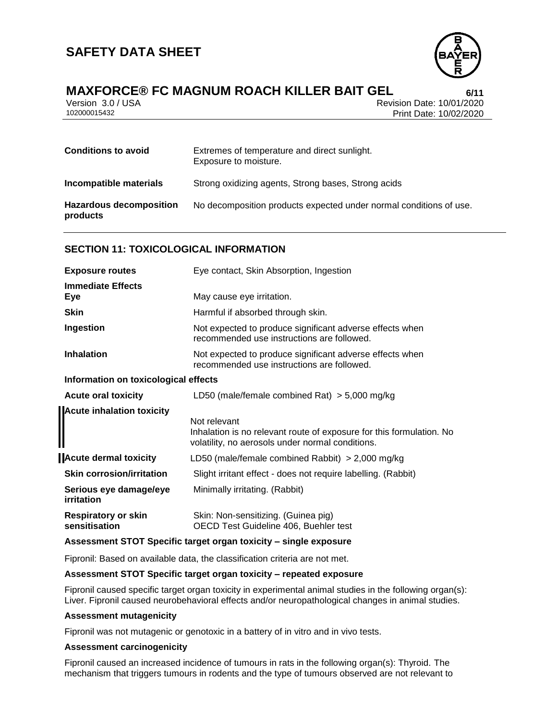

## **MAXFORCE® FC MAGNUM ROACH KILLER BAIT GEL 6/11**

Version 3.0 / USA Revision Date: 10/01/2020 Print Date: 10/02/2020

| <b>Conditions to avoid</b>                 | Extremes of temperature and direct sunlight.<br>Exposure to moisture. |
|--------------------------------------------|-----------------------------------------------------------------------|
| Incompatible materials                     | Strong oxidizing agents, Strong bases, Strong acids                   |
| <b>Hazardous decomposition</b><br>products | No decomposition products expected under normal conditions of use.    |

#### **SECTION 11: TOXICOLOGICAL INFORMATION**

| <b>Exposure routes</b>                      | Eye contact, Skin Absorption, Ingestion                                                                                                  |  |
|---------------------------------------------|------------------------------------------------------------------------------------------------------------------------------------------|--|
| <b>Immediate Effects</b><br>Eye             | May cause eye irritation.                                                                                                                |  |
| <b>Skin</b>                                 | Harmful if absorbed through skin.                                                                                                        |  |
| Ingestion                                   | Not expected to produce significant adverse effects when<br>recommended use instructions are followed.                                   |  |
| <b>Inhalation</b>                           | Not expected to produce significant adverse effects when<br>recommended use instructions are followed.                                   |  |
| Information on toxicological effects        |                                                                                                                                          |  |
| <b>Acute oral toxicity</b>                  | LD50 (male/female combined Rat) $>$ 5,000 mg/kg                                                                                          |  |
| <b>Acute inhalation toxicity</b>            |                                                                                                                                          |  |
|                                             | Not relevant<br>Inhalation is no relevant route of exposure for this formulation. No<br>volatility, no aerosols under normal conditions. |  |
| <b>Acute dermal toxicity</b>                | LD50 (male/female combined Rabbit) $>$ 2,000 mg/kg                                                                                       |  |
| <b>Skin corrosion/irritation</b>            | Slight irritant effect - does not require labelling. (Rabbit)                                                                            |  |
| Serious eye damage/eye<br>irritation        | Minimally irritating. (Rabbit)                                                                                                           |  |
| <b>Respiratory or skin</b><br>sensitisation | Skin: Non-sensitizing. (Guinea pig)<br>OECD Test Guideline 406, Buehler test                                                             |  |

#### **Assessment STOT Specific target organ toxicity – single exposure**

Fipronil: Based on available data, the classification criteria are not met.

#### **Assessment STOT Specific target organ toxicity – repeated exposure**

Fipronil caused specific target organ toxicity in experimental animal studies in the following organ(s): Liver. Fipronil caused neurobehavioral effects and/or neuropathological changes in animal studies.

#### **Assessment mutagenicity**

Fipronil was not mutagenic or genotoxic in a battery of in vitro and in vivo tests.

#### **Assessment carcinogenicity**

Fipronil caused an increased incidence of tumours in rats in the following organ(s): Thyroid. The mechanism that triggers tumours in rodents and the type of tumours observed are not relevant to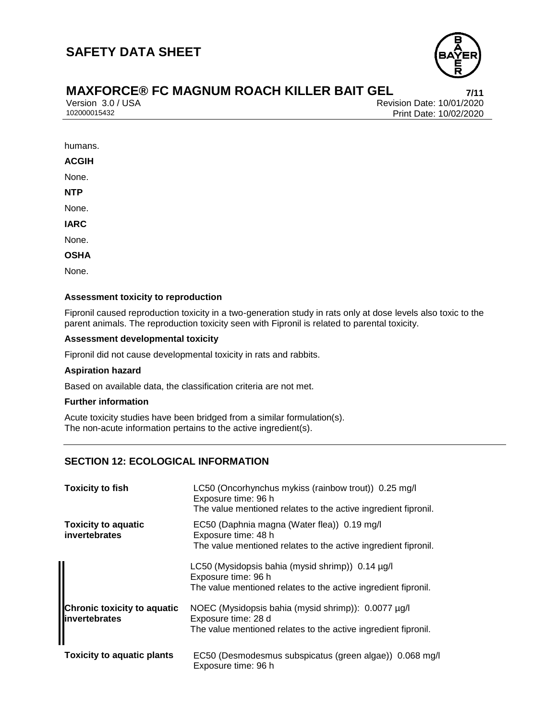

Version 3.0 / USA Revision Date: 10/01/2020 Print Date: 10/02/2020

humans.

**ACGIH**

None.

**NTP**

None.

**IARC**

None.

**OSHA**

None.

#### **Assessment toxicity to reproduction**

Fipronil caused reproduction toxicity in a two-generation study in rats only at dose levels also toxic to the parent animals. The reproduction toxicity seen with Fipronil is related to parental toxicity.

#### **Assessment developmental toxicity**

Fipronil did not cause developmental toxicity in rats and rabbits.

#### **Aspiration hazard**

Based on available data, the classification criteria are not met.

#### **Further information**

Acute toxicity studies have been bridged from a similar formulation(s). The non-acute information pertains to the active ingredient(s).

## **SECTION 12: ECOLOGICAL INFORMATION**

| <b>Toxicity to fish</b>                                    | LC50 (Oncorhynchus mykiss (rainbow trout)) 0.25 mg/l<br>Exposure time: 96 h<br>The value mentioned relates to the active ingredient fipronil.  |
|------------------------------------------------------------|------------------------------------------------------------------------------------------------------------------------------------------------|
| <b>Toxicity to aquatic</b><br>invertebrates                | EC50 (Daphnia magna (Water flea)) 0.19 mg/l<br>Exposure time: 48 h<br>The value mentioned relates to the active ingredient fipronil.           |
|                                                            | LC50 (Mysidopsis bahia (mysid shrimp)) $0.14 \mu g/l$<br>Exposure time: 96 h<br>The value mentioned relates to the active ingredient fipronil. |
| <b>Chronic toxicity to aquatic</b><br><b>Invertebrates</b> | NOEC (Mysidopsis bahia (mysid shrimp)): 0.0077 µg/l<br>Exposure time: 28 d<br>The value mentioned relates to the active ingredient fipronil.   |
| <b>Toxicity to aquatic plants</b>                          | EC50 (Desmodesmus subspicatus (green algae)) 0.068 mg/l<br>Exposure time: 96 h                                                                 |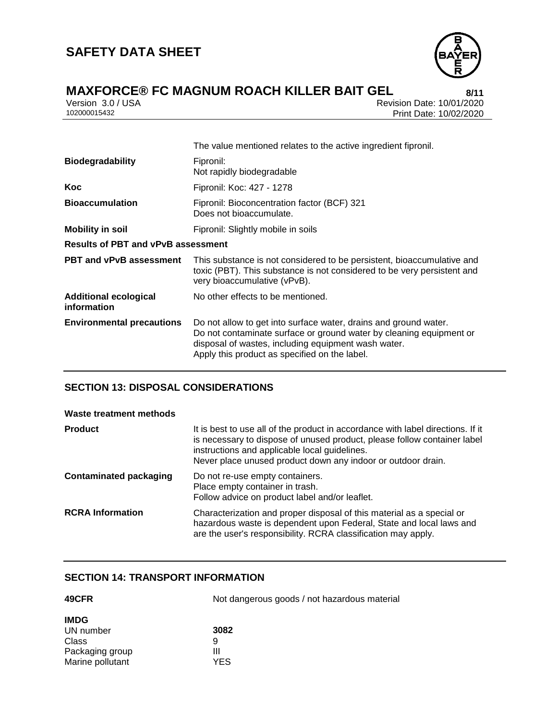

Version 3.0 / USA Revision Date: 10/01/2020<br>102000015432 Print Date: 10/02/2020 Print Date: 10/02/2020

|                                             | The value mentioned relates to the active ingredient fipronil.                                                                                                                                                                                  |  |
|---------------------------------------------|-------------------------------------------------------------------------------------------------------------------------------------------------------------------------------------------------------------------------------------------------|--|
| <b>Biodegradability</b>                     | Fipronil:<br>Not rapidly biodegradable                                                                                                                                                                                                          |  |
| Koc                                         | Fipronil: Koc: 427 - 1278                                                                                                                                                                                                                       |  |
| <b>Bioaccumulation</b>                      | Fipronil: Bioconcentration factor (BCF) 321<br>Does not bioaccumulate.                                                                                                                                                                          |  |
| <b>Mobility in soil</b>                     | Fipronil: Slightly mobile in soils                                                                                                                                                                                                              |  |
| <b>Results of PBT and vPvB assessment</b>   |                                                                                                                                                                                                                                                 |  |
| <b>PBT and vPvB assessment</b>              | This substance is not considered to be persistent, bioaccumulative and<br>toxic (PBT). This substance is not considered to be very persistent and<br>very bioaccumulative (vPvB).                                                               |  |
| <b>Additional ecological</b><br>information | No other effects to be mentioned.                                                                                                                                                                                                               |  |
| <b>Environmental precautions</b>            | Do not allow to get into surface water, drains and ground water.<br>Do not contaminate surface or ground water by cleaning equipment or<br>disposal of wastes, including equipment wash water.<br>Apply this product as specified on the label. |  |

## **SECTION 13: DISPOSAL CONSIDERATIONS**

| Waste treatment methods       |                                                                                                                                                                                                                                                                              |
|-------------------------------|------------------------------------------------------------------------------------------------------------------------------------------------------------------------------------------------------------------------------------------------------------------------------|
| <b>Product</b>                | It is best to use all of the product in accordance with label directions. If it<br>is necessary to dispose of unused product, please follow container label<br>instructions and applicable local guidelines.<br>Never place unused product down any indoor or outdoor drain. |
| <b>Contaminated packaging</b> | Do not re-use empty containers.<br>Place empty container in trash.<br>Follow advice on product label and/or leaflet.                                                                                                                                                         |
| <b>RCRA</b> Information       | Characterization and proper disposal of this material as a special or<br>hazardous waste is dependent upon Federal, State and local laws and<br>are the user's responsibility. RCRA classification may apply.                                                                |

#### **SECTION 14: TRANSPORT INFORMATION**

| 49CFR            | Not dangerous goods / not hazardous material |
|------------------|----------------------------------------------|
| <b>IMDG</b>      |                                              |
| UN number        | 3082                                         |
| Class            | 9                                            |
| Packaging group  | Ш                                            |
| Marine pollutant | YES                                          |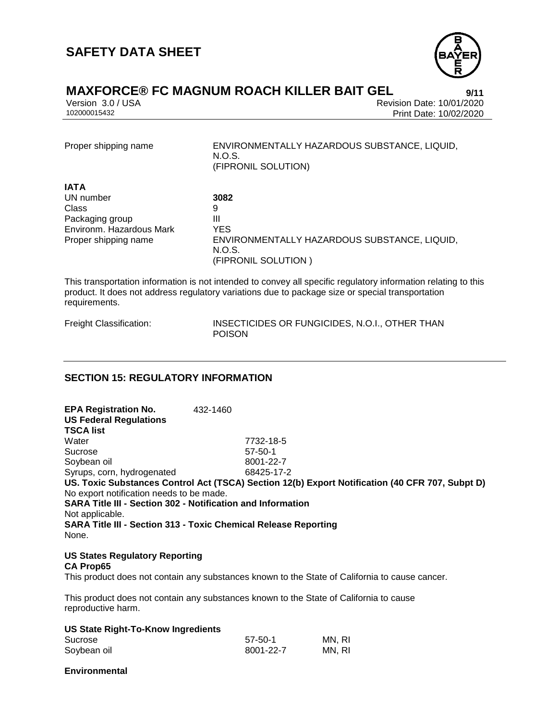

## **MAXFORCE® FC MAGNUM ROACH KILLER BAIT GEL** 9/11

Version 3.0 / USA Revision Date: 10/01/2020 Print Date: 10/02/2020

Proper shipping name ENVIRONMENTALLY HAZARDOUS SUBSTANCE, LIQUID, N.O.S. (FIPRONIL SOLUTION)

| <b>IATA</b>              |                                              |
|--------------------------|----------------------------------------------|
| UN number                | 3082                                         |
| Class                    | 9                                            |
| Packaging group          | Ш                                            |
| Environm, Hazardous Mark | YES                                          |
| Proper shipping name     | ENVIRONMENTALLY HAZARDOUS SUBSTANCE, LIQUID, |
|                          | N.O.S.                                       |
|                          | (FIPRONIL SOLUTION)                          |

This transportation information is not intended to convey all specific regulatory information relating to this product. It does not address regulatory variations due to package size or special transportation requirements.

Freight Classification: INSECTICIDES OR FUNGICIDES, N.O.I., OTHER THAN POISON

## **SECTION 15: REGULATORY INFORMATION**

**EPA Registration No.** 432-1460 **US Federal Regulations TSCA list** Water 7732-18-5 Sucrose 57-50-1 Soybean oil 8001-22-7 Syrups, corn, hydrogenated 68425-17-2 **US. Toxic Substances Control Act (TSCA) Section 12(b) Export Notification (40 CFR 707, Subpt D)** No export notification needs to be made. **SARA Title III - Section 302 - Notification and Information** Not applicable. **SARA Title III - Section 313 - Toxic Chemical Release Reporting** None.

## **US States Regulatory Reporting**

#### **CA Prop65**

This product does not contain any substances known to the State of California to cause cancer.

This product does not contain any substances known to the State of California to cause reproductive harm.

| US State Right-To-Know Ingredients |         |        |
|------------------------------------|---------|--------|
| Sucrose                            | 57-50-1 | MN. RI |

| MN, RI<br>Soybean oil<br>8001-22-7 |  |
|------------------------------------|--|
|------------------------------------|--|

**Environmental**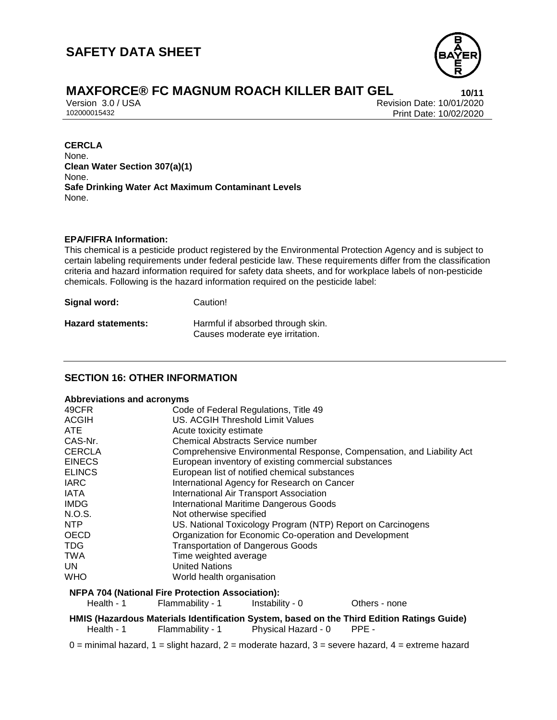

Version 3.0 / USA Revision Date: 10/01/2020 Print Date: 10/02/2020

#### **CERCLA**

None. **Clean Water Section 307(a)(1)** None. **Safe Drinking Water Act Maximum Contaminant Levels** None.

#### **EPA/FIFRA Information:**

This chemical is a pesticide product registered by the Environmental Protection Agency and is subject to certain labeling requirements under federal pesticide law. These requirements differ from the classification criteria and hazard information required for safety data sheets, and for workplace labels of non-pesticide chemicals. Following is the hazard information required on the pesticide label:

| Signal word:              | Caution!                                                             |
|---------------------------|----------------------------------------------------------------------|
| <b>Hazard statements:</b> | Harmful if absorbed through skin.<br>Causes moderate eye irritation. |

## **SECTION 16: OTHER INFORMATION**

#### **Abbreviations and acronyms**

| 49CFR         | Code of Federal Regulations, Title 49                                 |
|---------------|-----------------------------------------------------------------------|
| <b>ACGIH</b>  | US. ACGIH Threshold Limit Values                                      |
| ATE.          | Acute toxicity estimate                                               |
| CAS-Nr.       | <b>Chemical Abstracts Service number</b>                              |
| <b>CERCLA</b> | Comprehensive Environmental Response, Compensation, and Liability Act |
| <b>EINECS</b> | European inventory of existing commercial substances                  |
| <b>ELINCS</b> | European list of notified chemical substances                         |
| <b>IARC</b>   | International Agency for Research on Cancer                           |
| IATA          | International Air Transport Association                               |
| <b>IMDG</b>   | <b>International Maritime Dangerous Goods</b>                         |
| N.O.S.        | Not otherwise specified                                               |
| NTP.          | US. National Toxicology Program (NTP) Report on Carcinogens           |
| <b>OECD</b>   | Organization for Economic Co-operation and Development                |
| <b>TDG</b>    | <b>Transportation of Dangerous Goods</b>                              |
| <b>TWA</b>    | Time weighted average                                                 |
| UN            | <b>United Nations</b>                                                 |
| <b>WHO</b>    | World health organisation                                             |
|               | <b>NFPA 704 (National Fire Protection Association):</b>               |

Health - 1 Flammability - 1 Instability - 0 Others - none

**HMIS (Hazardous Materials Identification System, based on the Third Edition Ratings Guide)** Health - 1 Flammability - 1 Physical Hazard - 0 PPE -

 $0 =$  minimal hazard,  $1 =$  slight hazard,  $2 =$  moderate hazard,  $3 =$  severe hazard,  $4 =$  extreme hazard